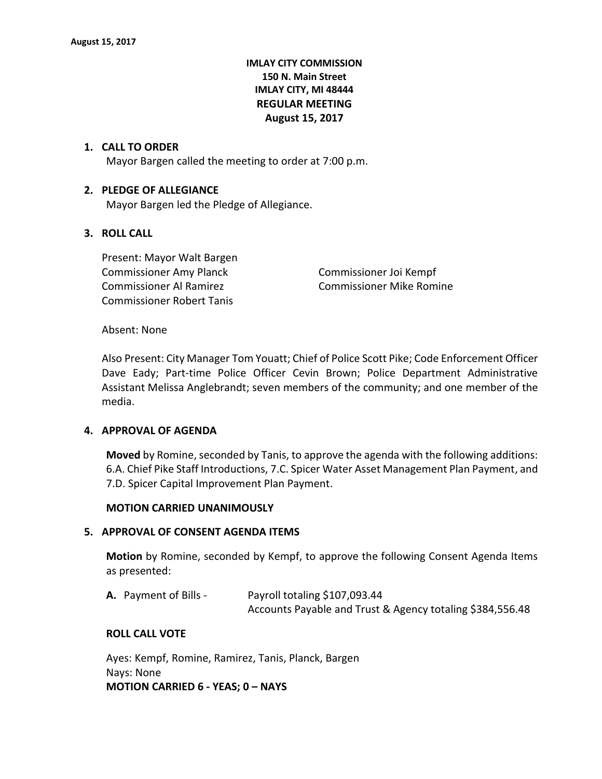# **IMLAY CITY COMMISSION 150 N. Main Street IMLAY CITY, MI 48444 REGULAR MEETING August 15, 2017**

## **1. CALL TO ORDER**

Mayor Bargen called the meeting to order at 7:00 p.m.

## **2. PLEDGE OF ALLEGIANCE**

Mayor Bargen led the Pledge of Allegiance.

## **3. ROLL CALL**

Present: Mayor Walt Bargen Commissioner Amy Planck Commissioner Joi Kempf Commissioner Al Ramirez **Commissioner Mike Romine** Commissioner Robert Tanis

## Absent: None

Also Present: City Manager Tom Youatt; Chief of Police Scott Pike; Code Enforcement Officer Dave Eady; Part-time Police Officer Cevin Brown; Police Department Administrative Assistant Melissa Anglebrandt; seven members of the community; and one member of the media.

## **4. APPROVAL OF AGENDA**

**Moved** by Romine, seconded by Tanis, to approve the agenda with the following additions: 6.A. Chief Pike Staff Introductions, 7.C. Spicer Water Asset Management Plan Payment, and 7.D. Spicer Capital Improvement Plan Payment.

## **MOTION CARRIED UNANIMOUSLY**

## **5. APPROVAL OF CONSENT AGENDA ITEMS**

**Motion** by Romine, seconded by Kempf, to approve the following Consent Agenda Items as presented:

| <b>A.</b> Payment of Bills - | Payroll totaling \$107,093.44                             |
|------------------------------|-----------------------------------------------------------|
|                              | Accounts Payable and Trust & Agency totaling \$384,556.48 |

## **ROLL CALL VOTE**

Ayes: Kempf, Romine, Ramirez, Tanis, Planck, Bargen Nays: None **MOTION CARRIED 6 - YEAS; 0 – NAYS**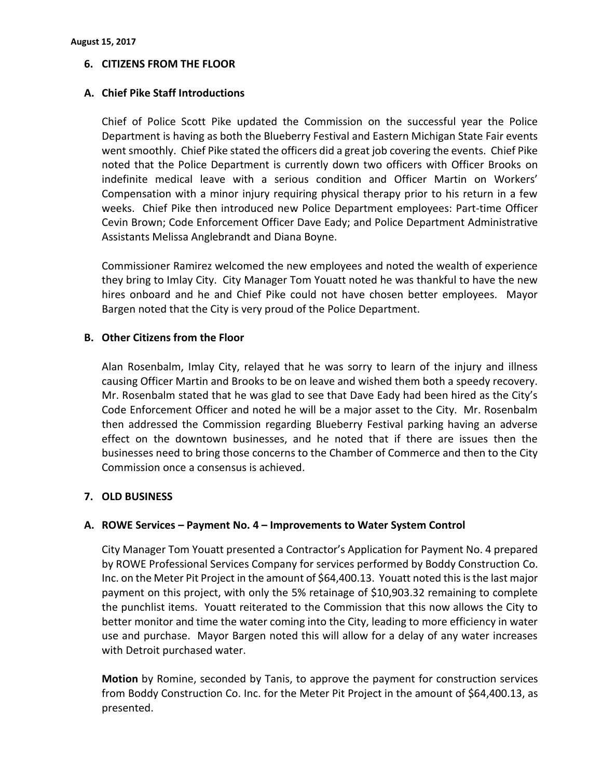# **6. CITIZENS FROM THE FLOOR**

# **A. Chief Pike Staff Introductions**

Chief of Police Scott Pike updated the Commission on the successful year the Police Department is having as both the Blueberry Festival and Eastern Michigan State Fair events went smoothly. Chief Pike stated the officers did a great job covering the events. Chief Pike noted that the Police Department is currently down two officers with Officer Brooks on indefinite medical leave with a serious condition and Officer Martin on Workers' Compensation with a minor injury requiring physical therapy prior to his return in a few weeks. Chief Pike then introduced new Police Department employees: Part-time Officer Cevin Brown; Code Enforcement Officer Dave Eady; and Police Department Administrative Assistants Melissa Anglebrandt and Diana Boyne.

Commissioner Ramirez welcomed the new employees and noted the wealth of experience they bring to Imlay City. City Manager Tom Youatt noted he was thankful to have the new hires onboard and he and Chief Pike could not have chosen better employees. Mayor Bargen noted that the City is very proud of the Police Department.

# **B. Other Citizens from the Floor**

Alan Rosenbalm, Imlay City, relayed that he was sorry to learn of the injury and illness causing Officer Martin and Brooks to be on leave and wished them both a speedy recovery. Mr. Rosenbalm stated that he was glad to see that Dave Eady had been hired as the City's Code Enforcement Officer and noted he will be a major asset to the City. Mr. Rosenbalm then addressed the Commission regarding Blueberry Festival parking having an adverse effect on the downtown businesses, and he noted that if there are issues then the businesses need to bring those concerns to the Chamber of Commerce and then to the City Commission once a consensus is achieved.

# **7. OLD BUSINESS**

# **A. ROWE Services – Payment No. 4 – Improvements to Water System Control**

City Manager Tom Youatt presented a Contractor's Application for Payment No. 4 prepared by ROWE Professional Services Company for services performed by Boddy Construction Co. Inc. on the Meter Pit Project in the amount of \$64,400.13. Youatt noted this is the last major payment on this project, with only the 5% retainage of \$10,903.32 remaining to complete the punchlist items. Youatt reiterated to the Commission that this now allows the City to better monitor and time the water coming into the City, leading to more efficiency in water use and purchase. Mayor Bargen noted this will allow for a delay of any water increases with Detroit purchased water.

**Motion** by Romine, seconded by Tanis, to approve the payment for construction services from Boddy Construction Co. Inc. for the Meter Pit Project in the amount of \$64,400.13, as presented.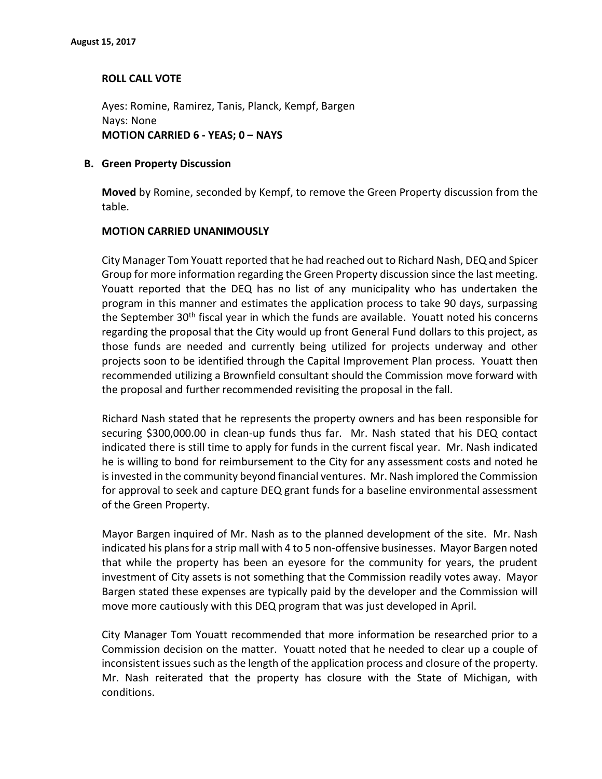# **ROLL CALL VOTE**

Ayes: Romine, Ramirez, Tanis, Planck, Kempf, Bargen Nays: None **MOTION CARRIED 6 - YEAS; 0 – NAYS**

# **B. Green Property Discussion**

**Moved** by Romine, seconded by Kempf, to remove the Green Property discussion from the table.

## **MOTION CARRIED UNANIMOUSLY**

City Manager Tom Youatt reported that he had reached out to Richard Nash, DEQ and Spicer Group for more information regarding the Green Property discussion since the last meeting. Youatt reported that the DEQ has no list of any municipality who has undertaken the program in this manner and estimates the application process to take 90 days, surpassing the September 30<sup>th</sup> fiscal year in which the funds are available. Youatt noted his concerns regarding the proposal that the City would up front General Fund dollars to this project, as those funds are needed and currently being utilized for projects underway and other projects soon to be identified through the Capital Improvement Plan process. Youatt then recommended utilizing a Brownfield consultant should the Commission move forward with the proposal and further recommended revisiting the proposal in the fall.

Richard Nash stated that he represents the property owners and has been responsible for securing \$300,000.00 in clean-up funds thus far. Mr. Nash stated that his DEQ contact indicated there is still time to apply for funds in the current fiscal year. Mr. Nash indicated he is willing to bond for reimbursement to the City for any assessment costs and noted he is invested in the community beyond financial ventures. Mr. Nash implored the Commission for approval to seek and capture DEQ grant funds for a baseline environmental assessment of the Green Property.

Mayor Bargen inquired of Mr. Nash as to the planned development of the site. Mr. Nash indicated his plans for a strip mall with 4 to 5 non-offensive businesses. Mayor Bargen noted that while the property has been an eyesore for the community for years, the prudent investment of City assets is not something that the Commission readily votes away. Mayor Bargen stated these expenses are typically paid by the developer and the Commission will move more cautiously with this DEQ program that was just developed in April.

City Manager Tom Youatt recommended that more information be researched prior to a Commission decision on the matter. Youatt noted that he needed to clear up a couple of inconsistent issues such as the length of the application process and closure of the property. Mr. Nash reiterated that the property has closure with the State of Michigan, with conditions.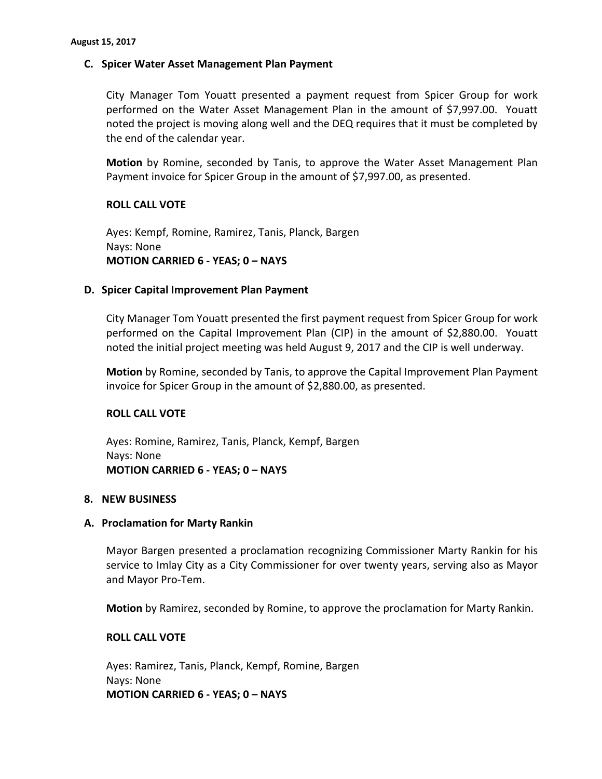## **C. Spicer Water Asset Management Plan Payment**

City Manager Tom Youatt presented a payment request from Spicer Group for work performed on the Water Asset Management Plan in the amount of \$7,997.00. Youatt noted the project is moving along well and the DEQ requires that it must be completed by the end of the calendar year.

**Motion** by Romine, seconded by Tanis, to approve the Water Asset Management Plan Payment invoice for Spicer Group in the amount of \$7,997.00, as presented.

## **ROLL CALL VOTE**

Ayes: Kempf, Romine, Ramirez, Tanis, Planck, Bargen Nays: None **MOTION CARRIED 6 - YEAS; 0 – NAYS**

## **D. Spicer Capital Improvement Plan Payment**

City Manager Tom Youatt presented the first payment request from Spicer Group for work performed on the Capital Improvement Plan (CIP) in the amount of \$2,880.00. Youatt noted the initial project meeting was held August 9, 2017 and the CIP is well underway.

**Motion** by Romine, seconded by Tanis, to approve the Capital Improvement Plan Payment invoice for Spicer Group in the amount of \$2,880.00, as presented.

## **ROLL CALL VOTE**

Ayes: Romine, Ramirez, Tanis, Planck, Kempf, Bargen Nays: None **MOTION CARRIED 6 - YEAS; 0 – NAYS**

## **8. NEW BUSINESS**

## **A. Proclamation for Marty Rankin**

Mayor Bargen presented a proclamation recognizing Commissioner Marty Rankin for his service to Imlay City as a City Commissioner for over twenty years, serving also as Mayor and Mayor Pro-Tem.

**Motion** by Ramirez, seconded by Romine, to approve the proclamation for Marty Rankin.

## **ROLL CALL VOTE**

Ayes: Ramirez, Tanis, Planck, Kempf, Romine, Bargen Nays: None **MOTION CARRIED 6 - YEAS; 0 – NAYS**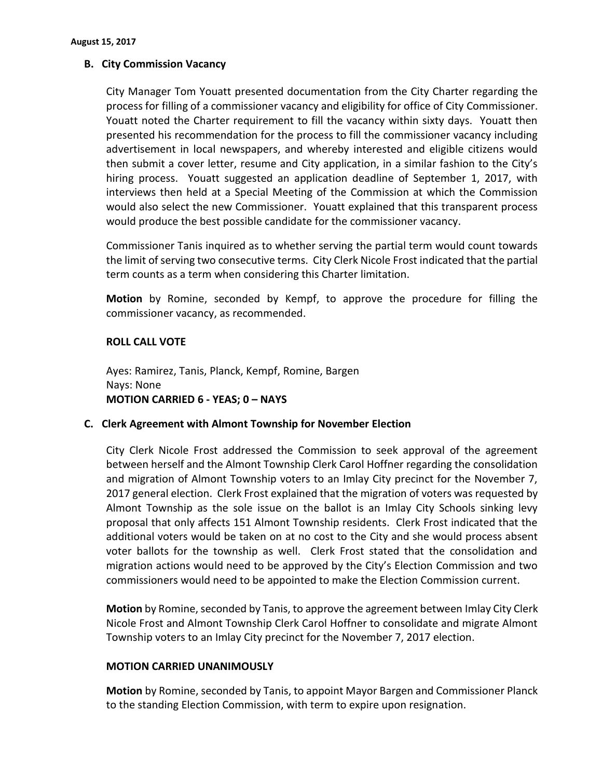# **B. City Commission Vacancy**

City Manager Tom Youatt presented documentation from the City Charter regarding the process for filling of a commissioner vacancy and eligibility for office of City Commissioner. Youatt noted the Charter requirement to fill the vacancy within sixty days. Youatt then presented his recommendation for the process to fill the commissioner vacancy including advertisement in local newspapers, and whereby interested and eligible citizens would then submit a cover letter, resume and City application, in a similar fashion to the City's hiring process. Youatt suggested an application deadline of September 1, 2017, with interviews then held at a Special Meeting of the Commission at which the Commission would also select the new Commissioner. Youatt explained that this transparent process would produce the best possible candidate for the commissioner vacancy.

Commissioner Tanis inquired as to whether serving the partial term would count towards the limit of serving two consecutive terms. City Clerk Nicole Frost indicated that the partial term counts as a term when considering this Charter limitation.

**Motion** by Romine, seconded by Kempf, to approve the procedure for filling the commissioner vacancy, as recommended.

# **ROLL CALL VOTE**

Ayes: Ramirez, Tanis, Planck, Kempf, Romine, Bargen Nays: None **MOTION CARRIED 6 - YEAS; 0 – NAYS**

# **C. Clerk Agreement with Almont Township for November Election**

City Clerk Nicole Frost addressed the Commission to seek approval of the agreement between herself and the Almont Township Clerk Carol Hoffner regarding the consolidation and migration of Almont Township voters to an Imlay City precinct for the November 7, 2017 general election. Clerk Frost explained that the migration of voters was requested by Almont Township as the sole issue on the ballot is an Imlay City Schools sinking levy proposal that only affects 151 Almont Township residents. Clerk Frost indicated that the additional voters would be taken on at no cost to the City and she would process absent voter ballots for the township as well. Clerk Frost stated that the consolidation and migration actions would need to be approved by the City's Election Commission and two commissioners would need to be appointed to make the Election Commission current.

**Motion** by Romine, seconded by Tanis, to approve the agreement between Imlay City Clerk Nicole Frost and Almont Township Clerk Carol Hoffner to consolidate and migrate Almont Township voters to an Imlay City precinct for the November 7, 2017 election.

# **MOTION CARRIED UNANIMOUSLY**

**Motion** by Romine, seconded by Tanis, to appoint Mayor Bargen and Commissioner Planck to the standing Election Commission, with term to expire upon resignation.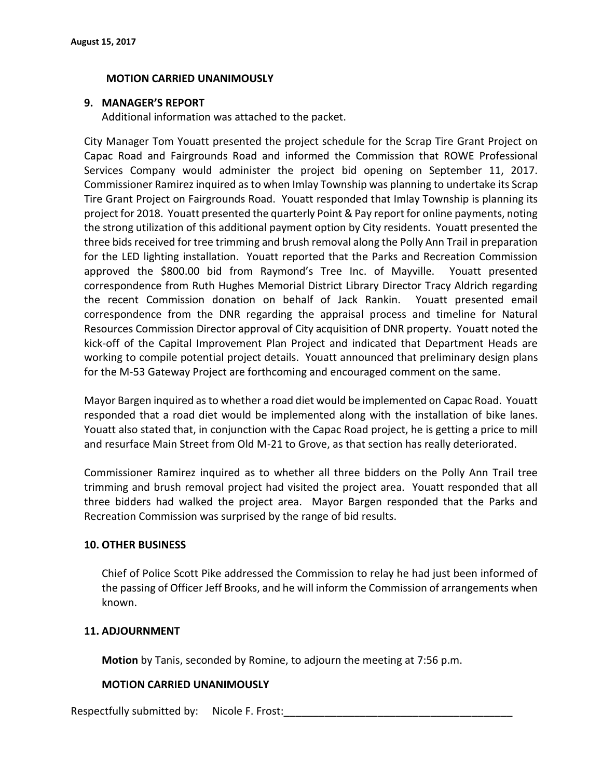## **MOTION CARRIED UNANIMOUSLY**

## **9. MANAGER'S REPORT**

Additional information was attached to the packet.

City Manager Tom Youatt presented the project schedule for the Scrap Tire Grant Project on Capac Road and Fairgrounds Road and informed the Commission that ROWE Professional Services Company would administer the project bid opening on September 11, 2017. Commissioner Ramirez inquired as to when Imlay Township was planning to undertake its Scrap Tire Grant Project on Fairgrounds Road. Youatt responded that Imlay Township is planning its project for 2018. Youatt presented the quarterly Point & Pay report for online payments, noting the strong utilization of this additional payment option by City residents. Youatt presented the three bids received for tree trimming and brush removal along the Polly Ann Trail in preparation for the LED lighting installation. Youatt reported that the Parks and Recreation Commission approved the \$800.00 bid from Raymond's Tree Inc. of Mayville. Youatt presented correspondence from Ruth Hughes Memorial District Library Director Tracy Aldrich regarding the recent Commission donation on behalf of Jack Rankin. Youatt presented email correspondence from the DNR regarding the appraisal process and timeline for Natural Resources Commission Director approval of City acquisition of DNR property. Youatt noted the kick-off of the Capital Improvement Plan Project and indicated that Department Heads are working to compile potential project details. Youatt announced that preliminary design plans for the M-53 Gateway Project are forthcoming and encouraged comment on the same.

Mayor Bargen inquired as to whether a road diet would be implemented on Capac Road. Youatt responded that a road diet would be implemented along with the installation of bike lanes. Youatt also stated that, in conjunction with the Capac Road project, he is getting a price to mill and resurface Main Street from Old M-21 to Grove, as that section has really deteriorated.

Commissioner Ramirez inquired as to whether all three bidders on the Polly Ann Trail tree trimming and brush removal project had visited the project area. Youatt responded that all three bidders had walked the project area. Mayor Bargen responded that the Parks and Recreation Commission was surprised by the range of bid results.

## **10. OTHER BUSINESS**

Chief of Police Scott Pike addressed the Commission to relay he had just been informed of the passing of Officer Jeff Brooks, and he will inform the Commission of arrangements when known.

## **11. ADJOURNMENT**

**Motion** by Tanis, seconded by Romine, to adjourn the meeting at 7:56 p.m.

## **MOTION CARRIED UNANIMOUSLY**

Respectfully submitted by: Nicole F. Frost:\_\_\_\_\_\_\_\_\_\_\_\_\_\_\_\_\_\_\_\_\_\_\_\_\_\_\_\_\_\_\_\_\_\_\_\_\_\_\_